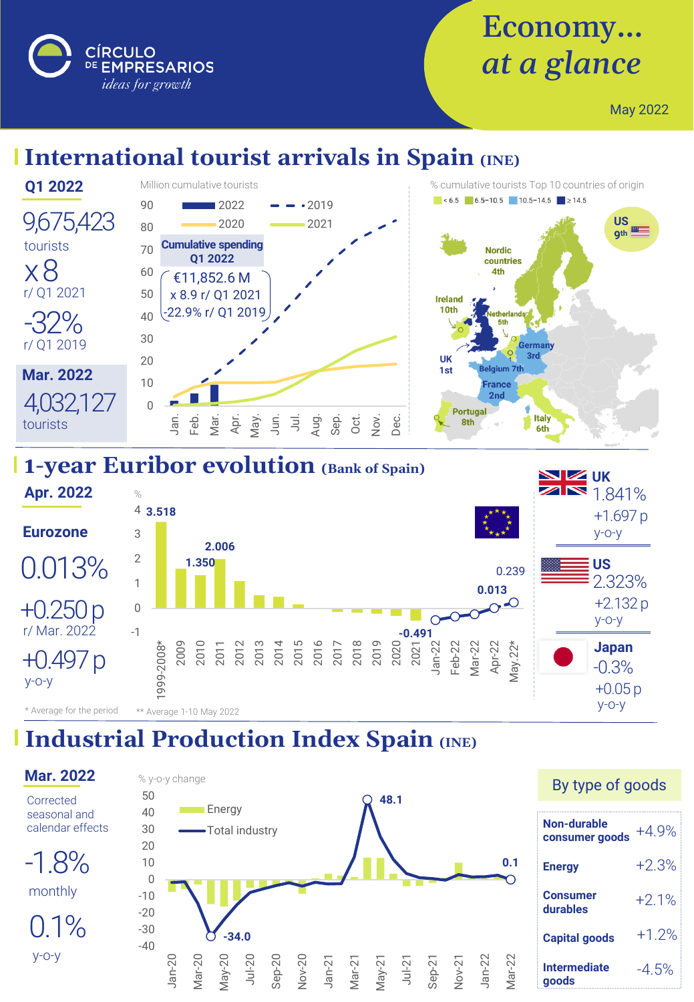DE EMPRESARIOS ideas for growth

**CÍRCULO** 

# Economy… *at a glance*

May 2022

## **International tourist arrivals in Spain (INE)**



#### **1-year Euribor evolution (Bank of Spain)**



## **Industrial Production Index Spain (INE)**